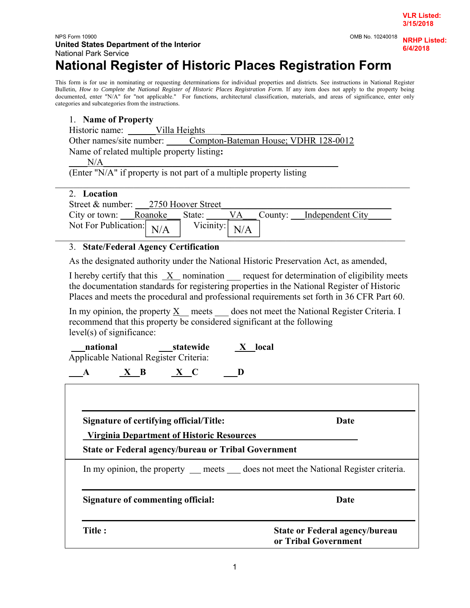#### NPS Form 10900 OMB No. 10240018 **United States Department of the Interior**  National Park Service

# **National Register of Historic Places Registration Form**

This form is for use in nominating or requesting determinations for individual properties and districts. See instructions in National Register Bulletin, *How to Complete the National Register of Historic Places Registration Form*. If any item does not apply to the property being documented, enter "N/A" for "not applicable." For functions, architectural classification, materials, and areas of significance, enter only categories and subcategories from the instructions.

#### 1. **Name of Property**

Historic name: Villa Heights

Other names/site number: \_\_\_\_\_Compton-Bateman House; VDHR 128-0012 Name of related multiple property listing**:**

 $N/A$ 

(Enter "N/A" if property is not part of a multiple property listing

#### 2. **Location**

Street & number:  $2750$  Hoover Street City or town: \_\_\_Roanoke \_\_\_ State: \_\_\_\_\_VA \_\_\_ County: \_\_\_Independent City Not For Publication:  $N/A$  Vicinity:  $\frac{11771}{}$  $N/A$ 

 $\mathcal{L}_\mathcal{L} = \mathcal{L}_\mathcal{L} = \mathcal{L}_\mathcal{L} = \mathcal{L}_\mathcal{L} = \mathcal{L}_\mathcal{L} = \mathcal{L}_\mathcal{L} = \mathcal{L}_\mathcal{L} = \mathcal{L}_\mathcal{L} = \mathcal{L}_\mathcal{L} = \mathcal{L}_\mathcal{L} = \mathcal{L}_\mathcal{L} = \mathcal{L}_\mathcal{L} = \mathcal{L}_\mathcal{L} = \mathcal{L}_\mathcal{L} = \mathcal{L}_\mathcal{L} = \mathcal{L}_\mathcal{L} = \mathcal{L}_\mathcal{L}$ 

#### 3. **State/Federal Agency Certification**

As the designated authority under the National Historic Preservation Act, as amended,

I hereby certify that this  $X$  nomination request for determination of eligibility meets the documentation standards for registering properties in the National Register of Historic Places and meets the procedural and professional requirements set forth in 36 CFR Part 60.

In my opinion, the property  $\underline{X}$  meets  $\qquad$  does not meet the National Register Criteria. I recommend that this property be considered significant at the following level(s) of significance:

| national                               | statewide | local |
|----------------------------------------|-----------|-------|
| Applicable National Register Criteria: |           |       |

|  | ___ | __ | the contract of the contract of the contract of the contract of the contract of |
|--|-----|----|---------------------------------------------------------------------------------|
|--|-----|----|---------------------------------------------------------------------------------|

| Signature of certifying official/Title:<br><b>Virginia Department of Historic Resources</b> | Date                                                          |  |  |
|---------------------------------------------------------------------------------------------|---------------------------------------------------------------|--|--|
| <b>State or Federal agency/bureau or Tribal Government</b>                                  |                                                               |  |  |
| In my opinion, the property ___ meets ____ does not meet the National Register criteria.    |                                                               |  |  |
| Signature of commenting official:                                                           | <b>Date</b>                                                   |  |  |
| Title:                                                                                      | <b>State or Federal agency/bureau</b><br>or Tribal Government |  |  |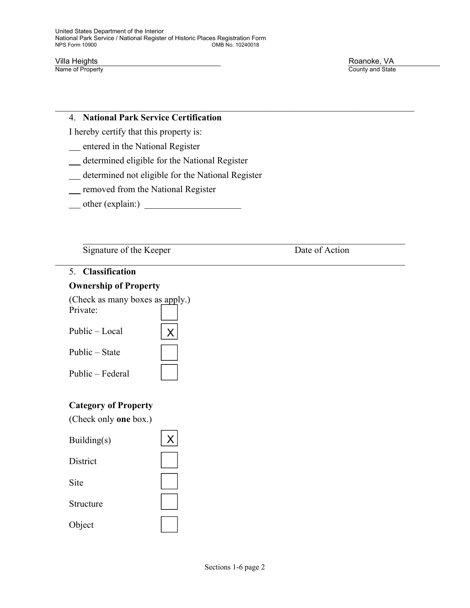Villa Heights **Example 19 September 2018**<br>
Name of Property **Roanoke, VA**<br>
Roanoke, VA County and State

#### 4. **National Park Service Certification**

I hereby certify that this property is:

- entered in the National Register
- determined eligible for the National Register
- determined not eligible for the National Register
- removed from the National Register
- other (explain:) \_\_\_\_\_\_\_\_\_\_\_\_\_\_\_\_\_\_\_\_\_

Signature of the Keeper Date of Action

## 5. **Classification**

#### **Ownership of Property**

| (Check as many boxes as apply.)<br>Private: |  |
|---------------------------------------------|--|
| Public – Local                              |  |
| Public – State                              |  |
| Public – Federal                            |  |

### **Category of Property**

(Check only **one** box.)

| Building(s)     |  |
|-----------------|--|
| <b>District</b> |  |
| Site            |  |
| Structure       |  |
| Object          |  |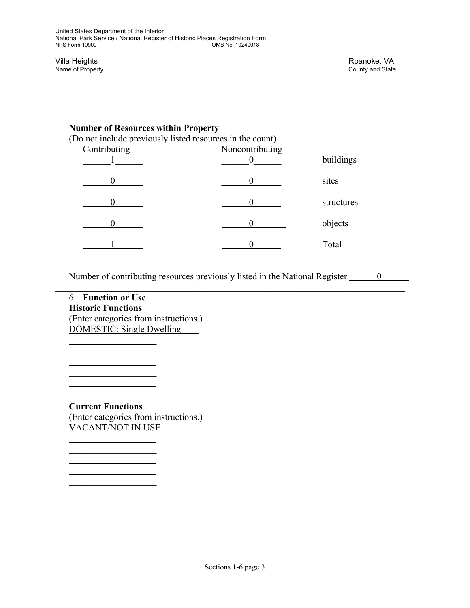#### **Number of Resources within Property**

(Do not include previously listed resources in the count)

| Contributing | Noncontributing | buildings  |
|--------------|-----------------|------------|
|              |                 | sites      |
|              |                 | structures |
|              |                 | objects    |
|              |                 | Total      |

Number of contributing resources previously listed in the National Register  $\qquad 0$ 

6. **Function or Use Historic Functions**  (Enter categories from instructions.) DOMESTIC: Single Dwelling\_\_\_\_

 $\overline{\phantom{a}}$  ,  $\overline{\phantom{a}}$  ,  $\overline{\phantom{a}}$  ,  $\overline{\phantom{a}}$  ,  $\overline{\phantom{a}}$  ,  $\overline{\phantom{a}}$  ,  $\overline{\phantom{a}}$  ,  $\overline{\phantom{a}}$  ,  $\overline{\phantom{a}}$  ,  $\overline{\phantom{a}}$  ,  $\overline{\phantom{a}}$  ,  $\overline{\phantom{a}}$  ,  $\overline{\phantom{a}}$  ,  $\overline{\phantom{a}}$  ,  $\overline{\phantom{a}}$  ,  $\overline{\phantom{a}}$  $\overline{\phantom{a}}$  ,  $\overline{\phantom{a}}$  ,  $\overline{\phantom{a}}$  ,  $\overline{\phantom{a}}$  ,  $\overline{\phantom{a}}$  ,  $\overline{\phantom{a}}$  ,  $\overline{\phantom{a}}$  ,  $\overline{\phantom{a}}$  ,  $\overline{\phantom{a}}$  ,  $\overline{\phantom{a}}$  ,  $\overline{\phantom{a}}$  ,  $\overline{\phantom{a}}$  ,  $\overline{\phantom{a}}$  ,  $\overline{\phantom{a}}$  ,  $\overline{\phantom{a}}$  ,  $\overline{\phantom{a}}$  $\mathcal{L}=\underbrace{\mathcal{L}=\mathcal{L}=\mathcal{L}=\mathcal{L}=\mathcal{L}=\mathcal{L}=\mathcal{L}=\mathcal{L}=\mathcal{L}=\mathcal{L}=\mathcal{L}=\mathcal{L}=\mathcal{L}=\mathcal{L}=\mathcal{L}=\mathcal{L}=\mathcal{L}=\mathcal{L}=\mathcal{L}=\mathcal{L}=\mathcal{L}=\mathcal{L}=\mathcal{L}=\mathcal{L}=\mathcal{L}=\mathcal{L}=\mathcal{L}=\mathcal{L}=\mathcal{L}=\mathcal{L}=\mathcal{L}=\mathcal{L}=\mathcal{L}=\mathcal{L}=\mathcal{L}=\$ 

 $\mathcal{L}=\underbrace{\mathcal{L}=\mathcal{L}=\mathcal{L}=\mathcal{L}=\mathcal{L}=\mathcal{L}=\mathcal{L}=\mathcal{L}=\mathcal{L}=\mathcal{L}=\mathcal{L}=\mathcal{L}=\mathcal{L}=\mathcal{L}=\mathcal{L}=\mathcal{L}=\mathcal{L}=\mathcal{L}=\mathcal{L}=\mathcal{L}=\mathcal{L}=\mathcal{L}=\mathcal{L}=\mathcal{L}=\mathcal{L}=\mathcal{L}=\mathcal{L}=\mathcal{L}=\mathcal{L}=\mathcal{L}=\mathcal{L}=\mathcal{L}=\mathcal{L}=\mathcal{L}=\mathcal{L}=\$ 

 $\overline{\phantom{a}}$  ,  $\overline{\phantom{a}}$  ,  $\overline{\phantom{a}}$  ,  $\overline{\phantom{a}}$  ,  $\overline{\phantom{a}}$  ,  $\overline{\phantom{a}}$  ,  $\overline{\phantom{a}}$  ,  $\overline{\phantom{a}}$  ,  $\overline{\phantom{a}}$  ,  $\overline{\phantom{a}}$  ,  $\overline{\phantom{a}}$  ,  $\overline{\phantom{a}}$  ,  $\overline{\phantom{a}}$  ,  $\overline{\phantom{a}}$  ,  $\overline{\phantom{a}}$  ,  $\overline{\phantom{a}}$ 

 $\mathcal{L}=\underbrace{\mathcal{L}=\mathcal{L}=\mathcal{L}=\mathcal{L}=\mathcal{L}=\mathcal{L}=\mathcal{L}=\mathcal{L}=\mathcal{L}=\mathcal{L}=\mathcal{L}=\mathcal{L}=\mathcal{L}=\mathcal{L}=\mathcal{L}=\mathcal{L}=\mathcal{L}=\mathcal{L}=\mathcal{L}=\mathcal{L}=\mathcal{L}=\mathcal{L}=\mathcal{L}=\mathcal{L}=\mathcal{L}=\mathcal{L}=\mathcal{L}=\mathcal{L}=\mathcal{L}=\mathcal{L}=\mathcal{L}=\mathcal{L}=\mathcal{L}=\mathcal{L}=\mathcal{L}=\$ 

 $\mathcal{L}=\mathcal{L}^{\mathcal{L}}$  , where  $\mathcal{L}^{\mathcal{L}}$ 

**Current Functions**  (Enter categories from instructions.) VACANT/NOT IN USE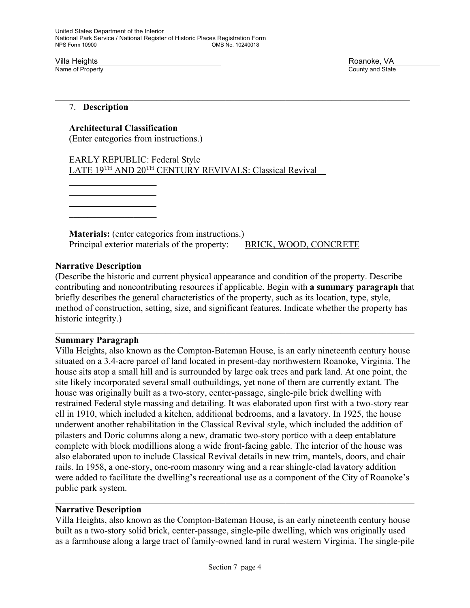Villa Heights Roanoke, VA

County and State

#### 7. **Description**

#### **Architectural Classification**

(Enter categories from instructions.)

 EARLY REPUBLIC: Federal Style LATE 19<sup>TH</sup> AND 20<sup>TH</sup> CENTURY REVIVALS: Classical Revival

 $\overline{\phantom{a}}$  ,  $\overline{\phantom{a}}$  ,  $\overline{\phantom{a}}$  ,  $\overline{\phantom{a}}$  ,  $\overline{\phantom{a}}$  ,  $\overline{\phantom{a}}$  ,  $\overline{\phantom{a}}$  ,  $\overline{\phantom{a}}$  ,  $\overline{\phantom{a}}$  ,  $\overline{\phantom{a}}$  ,  $\overline{\phantom{a}}$  ,  $\overline{\phantom{a}}$  ,  $\overline{\phantom{a}}$  ,  $\overline{\phantom{a}}$  ,  $\overline{\phantom{a}}$  ,  $\overline{\phantom{a}}$  $\overline{\phantom{a}}$  ,  $\overline{\phantom{a}}$  ,  $\overline{\phantom{a}}$  ,  $\overline{\phantom{a}}$  ,  $\overline{\phantom{a}}$  ,  $\overline{\phantom{a}}$  ,  $\overline{\phantom{a}}$  ,  $\overline{\phantom{a}}$  ,  $\overline{\phantom{a}}$  ,  $\overline{\phantom{a}}$  ,  $\overline{\phantom{a}}$  ,  $\overline{\phantom{a}}$  ,  $\overline{\phantom{a}}$  ,  $\overline{\phantom{a}}$  ,  $\overline{\phantom{a}}$  ,  $\overline{\phantom{a}}$ 

 $\mathcal{L}=\underbrace{\mathcal{L}=\mathcal{L}=\mathcal{L}=\mathcal{L}=\mathcal{L}=\mathcal{L}=\mathcal{L}=\mathcal{L}=\mathcal{L}=\mathcal{L}=\mathcal{L}=\mathcal{L}=\mathcal{L}=\mathcal{L}=\mathcal{L}=\mathcal{L}=\mathcal{L}=\mathcal{L}=\mathcal{L}=\mathcal{L}=\mathcal{L}=\mathcal{L}=\mathcal{L}=\mathcal{L}=\mathcal{L}=\mathcal{L}=\mathcal{L}=\mathcal{L}=\mathcal{L}=\mathcal{L}=\mathcal{L}=\mathcal{L}=\mathcal{L}=\mathcal{L}=\mathcal{L}=\$  $\mathcal{L}=\underbrace{\mathcal{L}=\mathcal{L}=\mathcal{L}=\mathcal{L}=\mathcal{L}=\mathcal{L}=\mathcal{L}=\mathcal{L}=\mathcal{L}=\mathcal{L}=\mathcal{L}=\mathcal{L}=\mathcal{L}=\mathcal{L}=\mathcal{L}=\mathcal{L}=\mathcal{L}=\mathcal{L}=\mathcal{L}=\mathcal{L}=\mathcal{L}=\mathcal{L}=\mathcal{L}=\mathcal{L}=\mathcal{L}=\mathcal{L}=\mathcal{L}=\mathcal{L}=\mathcal{L}=\mathcal{L}=\mathcal{L}=\mathcal{L}=\mathcal{L}=\mathcal{L}=\mathcal{L}=\$ 

> **Materials:** (enter categories from instructions.) Principal exterior materials of the property: BRICK, WOOD, CONCRETE

#### **Narrative Description**

(Describe the historic and current physical appearance and condition of the property. Describe contributing and noncontributing resources if applicable. Begin with **a summary paragraph** that briefly describes the general characteristics of the property, such as its location, type, style, method of construction, setting, size, and significant features. Indicate whether the property has historic integrity.)

#### **Summary Paragraph**

Villa Heights, also known as the Compton-Bateman House, is an early nineteenth century house situated on a 3.4-acre parcel of land located in present-day northwestern Roanoke, Virginia. The house sits atop a small hill and is surrounded by large oak trees and park land. At one point, the site likely incorporated several small outbuildings, yet none of them are currently extant. The house was originally built as a two-story, center-passage, single-pile brick dwelling with restrained Federal style massing and detailing. It was elaborated upon first with a two-story rear ell in 1910, which included a kitchen, additional bedrooms, and a lavatory. In 1925, the house underwent another rehabilitation in the Classical Revival style, which included the addition of pilasters and Doric columns along a new, dramatic two-story portico with a deep entablature complete with block modillions along a wide front-facing gable. The interior of the house was also elaborated upon to include Classical Revival details in new trim, mantels, doors, and chair rails. In 1958, a one-story, one-room masonry wing and a rear shingle-clad lavatory addition were added to facilitate the dwelling's recreational use as a component of the City of Roanoke's public park system.

#### **Narrative Description**

Villa Heights, also known as the Compton-Bateman House, is an early nineteenth century house built as a two-story solid brick, center-passage, single-pile dwelling, which was originally used as a farmhouse along a large tract of family-owned land in rural western Virginia. The single-pile

 $\mathcal{L}_\mathcal{L} = \mathcal{L}_\mathcal{L} = \mathcal{L}_\mathcal{L} = \mathcal{L}_\mathcal{L} = \mathcal{L}_\mathcal{L} = \mathcal{L}_\mathcal{L} = \mathcal{L}_\mathcal{L} = \mathcal{L}_\mathcal{L} = \mathcal{L}_\mathcal{L} = \mathcal{L}_\mathcal{L} = \mathcal{L}_\mathcal{L} = \mathcal{L}_\mathcal{L} = \mathcal{L}_\mathcal{L} = \mathcal{L}_\mathcal{L} = \mathcal{L}_\mathcal{L} = \mathcal{L}_\mathcal{L} = \mathcal{L}_\mathcal{L}$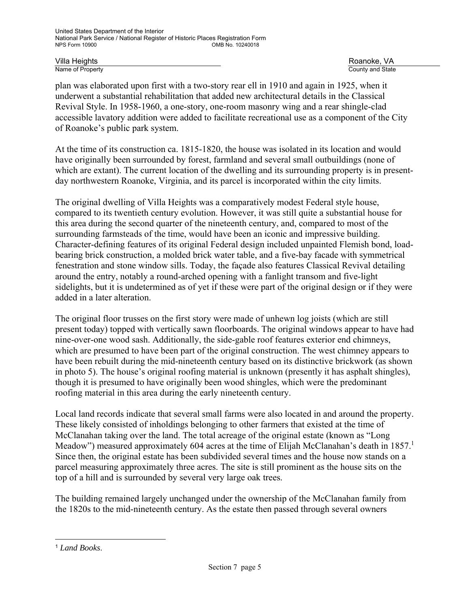Villa Heights Roanoke, VA

County and State

plan was elaborated upon first with a two-story rear ell in 1910 and again in 1925, when it underwent a substantial rehabilitation that added new architectural details in the Classical Revival Style. In 1958-1960, a one-story, one-room masonry wing and a rear shingle-clad accessible lavatory addition were added to facilitate recreational use as a component of the City of Roanoke's public park system.

At the time of its construction ca. 1815-1820, the house was isolated in its location and would have originally been surrounded by forest, farmland and several small outbuildings (none of which are extant). The current location of the dwelling and its surrounding property is in presentday northwestern Roanoke, Virginia, and its parcel is incorporated within the city limits.

The original dwelling of Villa Heights was a comparatively modest Federal style house, compared to its twentieth century evolution. However, it was still quite a substantial house for this area during the second quarter of the nineteenth century, and, compared to most of the surrounding farmsteads of the time, would have been an iconic and impressive building. Character-defining features of its original Federal design included unpainted Flemish bond, loadbearing brick construction, a molded brick water table, and a five-bay facade with symmetrical fenestration and stone window sills. Today, the façade also features Classical Revival detailing around the entry, notably a round-arched opening with a fanlight transom and five-light sidelights, but it is undetermined as of yet if these were part of the original design or if they were added in a later alteration.

The original floor trusses on the first story were made of unhewn log joists (which are still present today) topped with vertically sawn floorboards. The original windows appear to have had nine-over-one wood sash. Additionally, the side-gable roof features exterior end chimneys, which are presumed to have been part of the original construction. The west chimney appears to have been rebuilt during the mid-nineteenth century based on its distinctive brickwork (as shown in photo 5). The house's original roofing material is unknown (presently it has asphalt shingles), though it is presumed to have originally been wood shingles, which were the predominant roofing material in this area during the early nineteenth century.

Local land records indicate that several small farms were also located in and around the property. These likely consisted of inholdings belonging to other farmers that existed at the time of McClanahan taking over the land. The total acreage of the original estate (known as "Long Meadow") measured approximately 604 acres at the time of Elijah McClanahan's death in 1857.<sup>1</sup> Since then, the original estate has been subdivided several times and the house now stands on a parcel measuring approximately three acres. The site is still prominent as the house sits on the top of a hill and is surrounded by several very large oak trees.

The building remained largely unchanged under the ownership of the McClanahan family from the 1820s to the mid-nineteenth century. As the estate then passed through several owners

l

<sup>1</sup> *Land Books*.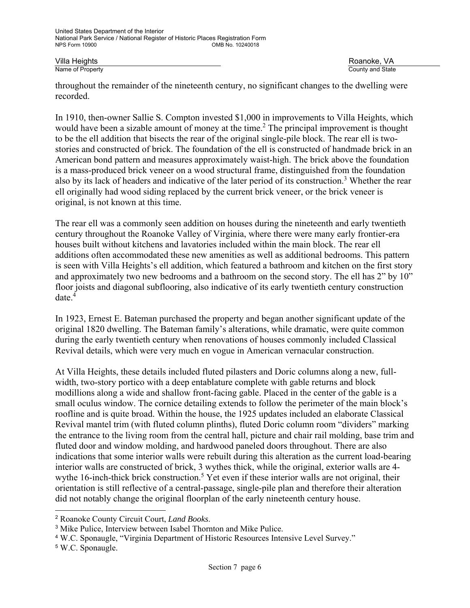Villa Heights Roanoke, VA County and State

throughout the remainder of the nineteenth century, no significant changes to the dwelling were recorded.

In 1910, then-owner Sallie S. Compton invested \$1,000 in improvements to Villa Heights, which would have been a sizable amount of money at the time.<sup>2</sup> The principal improvement is thought to be the ell addition that bisects the rear of the original single-pile block. The rear ell is twostories and constructed of brick. The foundation of the ell is constructed of handmade brick in an American bond pattern and measures approximately waist-high. The brick above the foundation is a mass-produced brick veneer on a wood structural frame, distinguished from the foundation also by its lack of headers and indicative of the later period of its construction.<sup>3</sup> Whether the rear ell originally had wood siding replaced by the current brick veneer, or the brick veneer is original, is not known at this time.

The rear ell was a commonly seen addition on houses during the nineteenth and early twentieth century throughout the Roanoke Valley of Virginia, where there were many early frontier-era houses built without kitchens and lavatories included within the main block. The rear ell additions often accommodated these new amenities as well as additional bedrooms. This pattern is seen with Villa Heights's ell addition, which featured a bathroom and kitchen on the first story and approximately two new bedrooms and a bathroom on the second story. The ell has 2" by 10" floor joists and diagonal subflooring, also indicative of its early twentieth century construction date.4

In 1923, Ernest E. Bateman purchased the property and began another significant update of the original 1820 dwelling. The Bateman family's alterations, while dramatic, were quite common during the early twentieth century when renovations of houses commonly included Classical Revival details, which were very much en vogue in American vernacular construction.

At Villa Heights, these details included fluted pilasters and Doric columns along a new, fullwidth, two-story portico with a deep entablature complete with gable returns and block modillions along a wide and shallow front-facing gable. Placed in the center of the gable is a small oculus window. The cornice detailing extends to follow the perimeter of the main block's roofline and is quite broad. Within the house, the 1925 updates included an elaborate Classical Revival mantel trim (with fluted column plinths), fluted Doric column room "dividers" marking the entrance to the living room from the central hall, picture and chair rail molding, base trim and fluted door and window molding, and hardwood paneled doors throughout. There are also indications that some interior walls were rebuilt during this alteration as the current load-bearing interior walls are constructed of brick, 3 wythes thick, while the original, exterior walls are 4 wythe 16-inch-thick brick construction.<sup>5</sup> Yet even if these interior walls are not original, their orientation is still reflective of a central-passage, single-pile plan and therefore their alteration did not notably change the original floorplan of the early nineteenth century house.

l

<sup>2</sup> Roanoke County Circuit Court, *Land Books*.

<sup>3</sup> Mike Pulice, Interview between Isabel Thornton and Mike Pulice.

<sup>4</sup> W.C. Sponaugle, "Virginia Department of Historic Resources Intensive Level Survey."

<sup>5</sup> W.C. Sponaugle.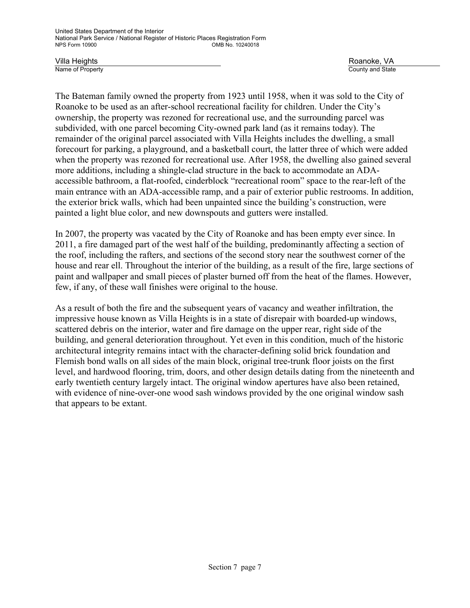Villa Heights Roanoke, VA

County and State

The Bateman family owned the property from 1923 until 1958, when it was sold to the City of Roanoke to be used as an after-school recreational facility for children. Under the City's ownership, the property was rezoned for recreational use, and the surrounding parcel was subdivided, with one parcel becoming City-owned park land (as it remains today). The remainder of the original parcel associated with Villa Heights includes the dwelling, a small forecourt for parking, a playground, and a basketball court, the latter three of which were added when the property was rezoned for recreational use. After 1958, the dwelling also gained several more additions, including a shingle-clad structure in the back to accommodate an ADAaccessible bathroom, a flat-roofed, cinderblock "recreational room" space to the rear-left of the main entrance with an ADA-accessible ramp, and a pair of exterior public restrooms. In addition, the exterior brick walls, which had been unpainted since the building's construction, were painted a light blue color, and new downspouts and gutters were installed.

In 2007, the property was vacated by the City of Roanoke and has been empty ever since. In 2011, a fire damaged part of the west half of the building, predominantly affecting a section of the roof, including the rafters, and sections of the second story near the southwest corner of the house and rear ell. Throughout the interior of the building, as a result of the fire, large sections of paint and wallpaper and small pieces of plaster burned off from the heat of the flames. However, few, if any, of these wall finishes were original to the house.

As a result of both the fire and the subsequent years of vacancy and weather infiltration, the impressive house known as Villa Heights is in a state of disrepair with boarded-up windows, scattered debris on the interior, water and fire damage on the upper rear, right side of the building, and general deterioration throughout. Yet even in this condition, much of the historic architectural integrity remains intact with the character-defining solid brick foundation and Flemish bond walls on all sides of the main block, original tree-trunk floor joists on the first level, and hardwood flooring, trim, doors, and other design details dating from the nineteenth and early twentieth century largely intact. The original window apertures have also been retained, with evidence of nine-over-one wood sash windows provided by the one original window sash that appears to be extant.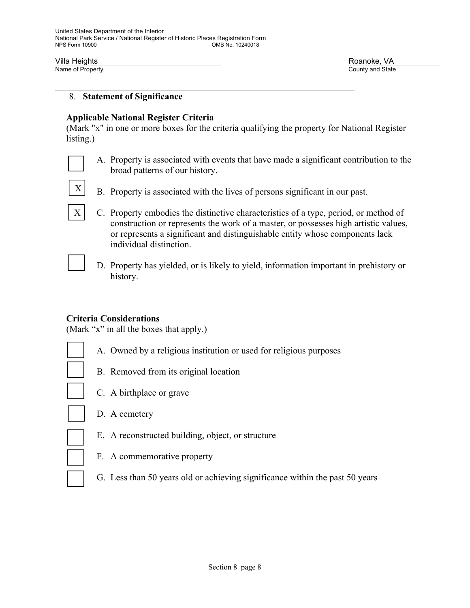$X<sup>1</sup>$ 

Villa Heights Roanoke, VA County and State

#### 8. **Statement of Significance**

#### **Applicable National Register Criteria**

(Mark "x" in one or more boxes for the criteria qualifying the property for National Register listing.)

A. Property is associated with events that have made a significant contribution to the broad patterns of our history.



- C. Property embodies the distinctive characteristics of a type, period, or method of construction or represents the work of a master, or possesses high artistic values, or represents a significant and distinguishable entity whose components lack individual distinction.
	- D. Property has yielded, or is likely to yield, information important in prehistory or history.

#### **Criteria Considerations**

(Mark "x" in all the boxes that apply.)

- A. Owned by a religious institution or used for religious purposes
- B. Removed from its original location
- C. A birthplace or grave
- D. A cemetery
- 
- 

E. A reconstructed building, object, or structure

- F. A commemorative property
- G. Less than 50 years old or achieving significance within the past 50 years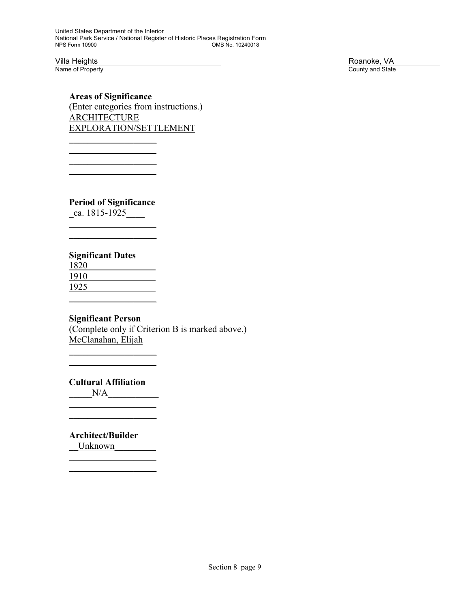Villa Heights **Roanoke, VA**<br>
Name of Property **Roanoke, VA**<br>
Roanoke, VA County and State

**Areas of Significance**  (Enter categories from instructions.) **ARCHITECTURE** EXPLORATION/SETTLEMENT

**Period of Significance**

 $\overline{\phantom{a}}$  , where  $\overline{\phantom{a}}$  $\overline{\phantom{a}}$  , where  $\overline{\phantom{a}}$ 

 $\overline{\phantom{a}}$  , where  $\overline{\phantom{a}}$  $\overline{\phantom{a}}$  , where  $\overline{\phantom{a}}$  $\overline{\phantom{a}}$  , where  $\overline{\phantom{a}}$  $\overline{\phantom{a}}$  , where  $\overline{\phantom{a}}$ 

\_ca. 1815-1925\_\_\_\_

#### **Significant Dates**

1820 1910 1925  $\overline{\phantom{a}}$  ,  $\overline{\phantom{a}}$  ,  $\overline{\phantom{a}}$  ,  $\overline{\phantom{a}}$  ,  $\overline{\phantom{a}}$  ,  $\overline{\phantom{a}}$  ,  $\overline{\phantom{a}}$  ,  $\overline{\phantom{a}}$  ,  $\overline{\phantom{a}}$  ,  $\overline{\phantom{a}}$  ,  $\overline{\phantom{a}}$  ,  $\overline{\phantom{a}}$  ,  $\overline{\phantom{a}}$  ,  $\overline{\phantom{a}}$  ,  $\overline{\phantom{a}}$  ,  $\overline{\phantom{a}}$ 

#### **Significant Person**

(Complete only if Criterion B is marked above.) McClanahan, Elijah

 **Cultural Affiliation** 

 $\mathcal{L}=\underbrace{\mathcal{L}=\mathcal{L}=\mathcal{L}=\mathcal{L}=\mathcal{L}=\mathcal{L}=\mathcal{L}=\mathcal{L}=\mathcal{L}=\mathcal{L}=\mathcal{L}=\mathcal{L}=\mathcal{L}=\mathcal{L}=\mathcal{L}=\mathcal{L}=\mathcal{L}=\mathcal{L}=\mathcal{L}=\mathcal{L}=\mathcal{L}=\mathcal{L}=\mathcal{L}=\mathcal{L}=\mathcal{L}=\mathcal{L}=\mathcal{L}=\mathcal{L}=\mathcal{L}=\mathcal{L}=\mathcal{L}=\mathcal{L}=\mathcal{L}=\mathcal{L}=\mathcal{L}=\$ 

 $\overline{\phantom{a}}$  , where  $\overline{\phantom{a}}$  $\overline{\phantom{a}}$  , where  $\overline{\phantom{a}}$ 

 $N/A$ 

 **Architect/Builder** Unknown

 $\mathcal{L}=\underbrace{\mathcal{L}=\mathcal{L}=\mathcal{L}=\mathcal{L}=\mathcal{L}=\mathcal{L}=\mathcal{L}=\mathcal{L}=\mathcal{L}=\mathcal{L}=\mathcal{L}=\mathcal{L}=\mathcal{L}=\mathcal{L}=\mathcal{L}=\mathcal{L}=\mathcal{L}=\mathcal{L}=\mathcal{L}=\mathcal{L}=\mathcal{L}=\mathcal{L}=\mathcal{L}=\mathcal{L}=\mathcal{L}=\mathcal{L}=\mathcal{L}=\mathcal{L}=\mathcal{L}=\mathcal{L}=\mathcal{L}=\mathcal{L}=\mathcal{L}=\mathcal{L}=\mathcal{L}=\$  $\mathcal{L}=\underbrace{\mathcal{L}=\mathcal{L}=\mathcal{L}=\mathcal{L}=\mathcal{L}=\mathcal{L}=\mathcal{L}=\mathcal{L}=\mathcal{L}=\mathcal{L}=\mathcal{L}=\mathcal{L}=\mathcal{L}=\mathcal{L}=\mathcal{L}=\mathcal{L}=\mathcal{L}=\mathcal{L}=\mathcal{L}=\mathcal{L}=\mathcal{L}=\mathcal{L}=\mathcal{L}=\mathcal{L}=\mathcal{L}=\mathcal{L}=\mathcal{L}=\mathcal{L}=\mathcal{L}=\mathcal{L}=\mathcal{L}=\mathcal{L}=\mathcal{L}=\mathcal{L}=\mathcal{L}=\$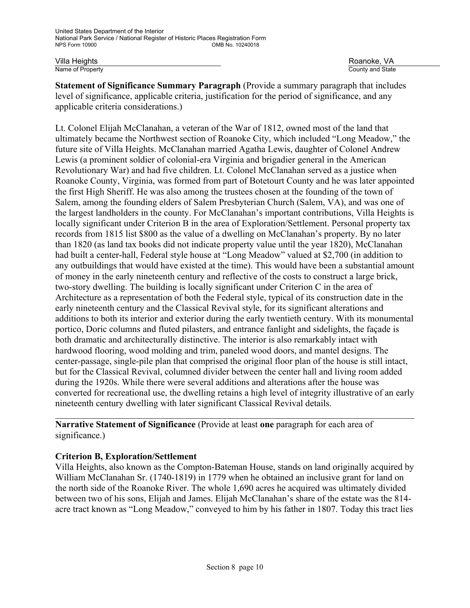Villa Heights Roanoke, VA County and State

**Statement of Significance Summary Paragraph** (Provide a summary paragraph that includes level of significance, applicable criteria, justification for the period of significance, and any applicable criteria considerations.)

Lt. Colonel Elijah McClanahan, a veteran of the War of 1812, owned most of the land that ultimately became the Northwest section of Roanoke City, which included "Long Meadow," the future site of Villa Heights. McClanahan married Agatha Lewis, daughter of Colonel Andrew Lewis (a prominent soldier of colonial-era Virginia and brigadier general in the American Revolutionary War) and had five children. Lt. Colonel McClanahan served as a justice when Roanoke County, Virginia, was formed from part of Botetourt County and he was later appointed the first High Sheriff. He was also among the trustees chosen at the founding of the town of Salem, among the founding elders of Salem Presbyterian Church (Salem, VA), and was one of the largest landholders in the county. For McClanahan's important contributions, Villa Heights is locally significant under Criterion B in the area of Exploration/Settlement. Personal property tax records from 1815 list \$800 as the value of a dwelling on McClanahan's property. By no later than 1820 (as land tax books did not indicate property value until the year 1820), McClanahan had built a center-hall, Federal style house at "Long Meadow" valued at \$2,700 (in addition to any outbuildings that would have existed at the time). This would have been a substantial amount of money in the early nineteenth century and reflective of the costs to construct a large brick, two-story dwelling. The building is locally significant under Criterion C in the area of Architecture as a representation of both the Federal style, typical of its construction date in the early nineteenth century and the Classical Revival style, for its significant alterations and additions to both its interior and exterior during the early twentieth century. With its monumental portico, Doric columns and fluted pilasters, and entrance fanlight and sidelights, the façade is both dramatic and architecturally distinctive. The interior is also remarkably intact with hardwood flooring, wood molding and trim, paneled wood doors, and mantel designs. The center-passage, single-pile plan that comprised the original floor plan of the house is still intact, but for the Classical Revival, columned divider between the center hall and living room added during the 1920s. While there were several additions and alterations after the house was converted for recreational use, the dwelling retains a high level of integrity illustrative of an early nineteenth century dwelling with later significant Classical Revival details.

**Narrative Statement of Significance** (Provide at least **one** paragraph for each area of significance.)

#### **Criterion B, Exploration/Settlement**

Villa Heights, also known as the Compton-Bateman House, stands on land originally acquired by William McClanahan Sr. (1740-1819) in 1779 when he obtained an inclusive grant for land on the north side of the Roanoke River. The whole 1,690 acres he acquired was ultimately divided between two of his sons, Elijah and James. Elijah McClanahan's share of the estate was the 814 acre tract known as "Long Meadow," conveyed to him by his father in 1807. Today this tract lies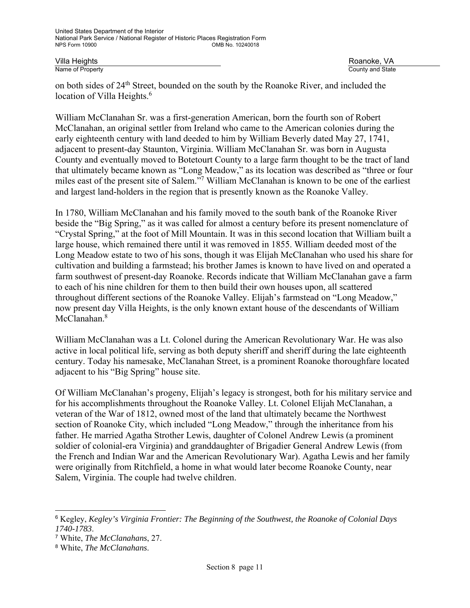on both sides of 24th Street, bounded on the south by the Roanoke River, and included the location of Villa Heights.<sup>6</sup>

William McClanahan Sr. was a first-generation American, born the fourth son of Robert McClanahan, an original settler from Ireland who came to the American colonies during the early eighteenth century with land deeded to him by William Beverly dated May 27, 1741, adjacent to present-day Staunton, Virginia. William McClanahan Sr. was born in Augusta County and eventually moved to Botetourt County to a large farm thought to be the tract of land that ultimately became known as "Long Meadow," as its location was described as "three or four miles east of the present site of Salem."<sup>7</sup> William McClanahan is known to be one of the earliest and largest land-holders in the region that is presently known as the Roanoke Valley.

In 1780, William McClanahan and his family moved to the south bank of the Roanoke River beside the "Big Spring," as it was called for almost a century before its present nomenclature of "Crystal Spring," at the foot of Mill Mountain. It was in this second location that William built a large house, which remained there until it was removed in 1855. William deeded most of the Long Meadow estate to two of his sons, though it was Elijah McClanahan who used his share for cultivation and building a farmstead; his brother James is known to have lived on and operated a farm southwest of present-day Roanoke. Records indicate that William McClanahan gave a farm to each of his nine children for them to then build their own houses upon, all scattered throughout different sections of the Roanoke Valley. Elijah's farmstead on "Long Meadow," now present day Villa Heights, is the only known extant house of the descendants of William McClanahan.<sup>8</sup>

William McClanahan was a Lt. Colonel during the American Revolutionary War. He was also active in local political life, serving as both deputy sheriff and sheriff during the late eighteenth century. Today his namesake, McClanahan Street, is a prominent Roanoke thoroughfare located adjacent to his "Big Spring" house site.

Of William McClanahan's progeny, Elijah's legacy is strongest, both for his military service and for his accomplishments throughout the Roanoke Valley. Lt. Colonel Elijah McClanahan, a veteran of the War of 1812, owned most of the land that ultimately became the Northwest section of Roanoke City, which included "Long Meadow," through the inheritance from his father. He married Agatha Strother Lewis, daughter of Colonel Andrew Lewis (a prominent soldier of colonial-era Virginia) and granddaughter of Brigadier General Andrew Lewis (from the French and Indian War and the American Revolutionary War). Agatha Lewis and her family were originally from Ritchfield, a home in what would later become Roanoke County, near Salem, Virginia. The couple had twelve children.

l

<sup>6</sup> Kegley, *Kegley's Virginia Frontier: The Beginning of the Southwest, the Roanoke of Colonial Days 1740-1783*.

<sup>7</sup> White, *The McClanahans*, 27.

<sup>8</sup> White, *The McClanahans*.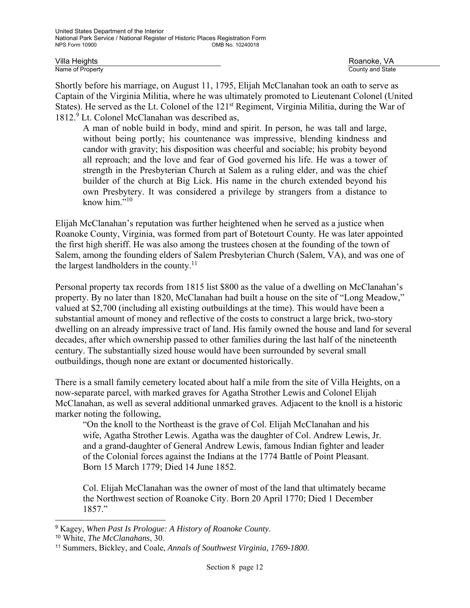Villa Heights Roanoke, VA

County and State

Shortly before his marriage, on August 11, 1795, Elijah McClanahan took an oath to serve as Captain of the Virginia Militia, where he was ultimately promoted to Lieutenant Colonel (United States). He served as the Lt. Colonel of the 121<sup>st</sup> Regiment, Virginia Militia, during the War of 1812.9 Lt. Colonel McClanahan was described as,

A man of noble build in body, mind and spirit. In person, he was tall and large, without being portly; his countenance was impressive, blending kindness and candor with gravity; his disposition was cheerful and sociable; his probity beyond all reproach; and the love and fear of God governed his life. He was a tower of strength in the Presbyterian Church at Salem as a ruling elder, and was the chief builder of the church at Big Lick. His name in the church extended beyond his own Presbytery. It was considered a privilege by strangers from a distance to know him."<sup>10</sup>

Elijah McClanahan's reputation was further heightened when he served as a justice when Roanoke County, Virginia, was formed from part of Botetourt County. He was later appointed the first high sheriff. He was also among the trustees chosen at the founding of the town of Salem, among the founding elders of Salem Presbyterian Church (Salem, VA), and was one of the largest landholders in the county.<sup>11</sup>

Personal property tax records from 1815 list \$800 as the value of a dwelling on McClanahan's property. By no later than 1820, McClanahan had built a house on the site of "Long Meadow," valued at \$2,700 (including all existing outbuildings at the time). This would have been a substantial amount of money and reflective of the costs to construct a large brick, two-story dwelling on an already impressive tract of land. His family owned the house and land for several decades, after which ownership passed to other families during the last half of the nineteenth century. The substantially sized house would have been surrounded by several small outbuildings, though none are extant or documented historically.

There is a small family cemetery located about half a mile from the site of Villa Heights, on a now-separate parcel, with marked graves for Agatha Strother Lewis and Colonel Elijah McClanahan, as well as several additional unmarked graves. Adjacent to the knoll is a historic marker noting the following,

"On the knoll to the Northeast is the grave of Col. Elijah McClanahan and his wife, Agatha Strother Lewis. Agatha was the daughter of Col. Andrew Lewis, Jr. and a grand-daughter of General Andrew Lewis, famous Indian fighter and leader of the Colonial forces against the Indians at the 1774 Battle of Point Pleasant. Born 15 March 1779; Died 14 June 1852.

Col. Elijah McClanahan was the owner of most of the land that ultimately became the Northwest section of Roanoke City. Born 20 April 1770; Died 1 December 1857."

-

<sup>9</sup> Kagey, *When Past Is Prologue: A History of Roanoke County*.

<sup>10</sup> White, *The McClanahans*, 30.

<sup>11</sup> Summers, Bickley, and Coale, *Annals of Southwest Virginia, 1769-1800*.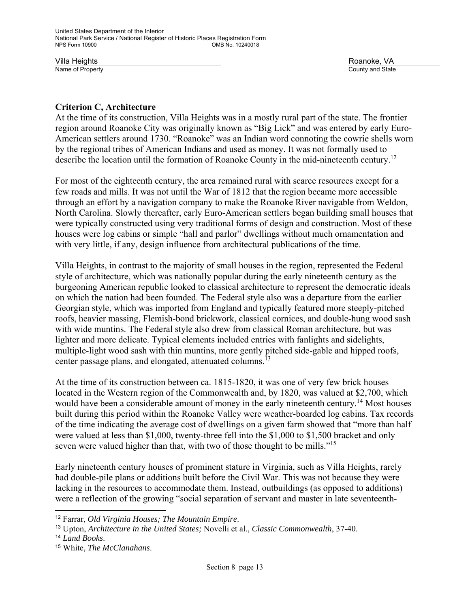### **Criterion C, Architecture**

At the time of its construction, Villa Heights was in a mostly rural part of the state. The frontier region around Roanoke City was originally known as "Big Lick" and was entered by early Euro-American settlers around 1730. "Roanoke" was an Indian word connoting the cowrie shells worn by the regional tribes of American Indians and used as money. It was not formally used to describe the location until the formation of Roanoke County in the mid-nineteenth century.<sup>12</sup>

For most of the eighteenth century, the area remained rural with scarce resources except for a few roads and mills. It was not until the War of 1812 that the region became more accessible through an effort by a navigation company to make the Roanoke River navigable from Weldon, North Carolina. Slowly thereafter, early Euro-American settlers began building small houses that were typically constructed using very traditional forms of design and construction. Most of these houses were log cabins or simple "hall and parlor" dwellings without much ornamentation and with very little, if any, design influence from architectural publications of the time.

Villa Heights, in contrast to the majority of small houses in the region, represented the Federal style of architecture, which was nationally popular during the early nineteenth century as the burgeoning American republic looked to classical architecture to represent the democratic ideals on which the nation had been founded. The Federal style also was a departure from the earlier Georgian style, which was imported from England and typically featured more steeply-pitched roofs, heavier massing, Flemish-bond brickwork, classical cornices, and double-hung wood sash with wide muntins. The Federal style also drew from classical Roman architecture, but was lighter and more delicate. Typical elements included entries with fanlights and sidelights, multiple-light wood sash with thin muntins, more gently pitched side-gable and hipped roofs, center passage plans, and elongated, attenuated columns.<sup>13</sup>

At the time of its construction between ca. 1815-1820, it was one of very few brick houses located in the Western region of the Commonwealth and, by 1820, was valued at \$2,700, which would have been a considerable amount of money in the early nineteenth century.<sup>14</sup> Most houses built during this period within the Roanoke Valley were weather-boarded log cabins. Tax records of the time indicating the average cost of dwellings on a given farm showed that "more than half were valued at less than \$1,000, twenty-three fell into the \$1,000 to \$1,500 bracket and only seven were valued higher than that, with two of those thought to be mills."<sup>15</sup>

Early nineteenth century houses of prominent stature in Virginia, such as Villa Heights, rarely had double-pile plans or additions built before the Civil War. This was not because they were lacking in the resources to accommodate them. Instead, outbuildings (as opposed to additions) were a reflection of the growing "social separation of servant and master in late seventeenth-

l

<sup>12</sup> Farrar, *Old Virginia Houses; The Mountain Empire*.

<sup>13</sup> Upton, *Architecture in the United States;* Novelli et al., *Classic Commonwealth*, 37-40.

<sup>14</sup> *Land Books*.

<sup>15</sup> White, *The McClanahans*.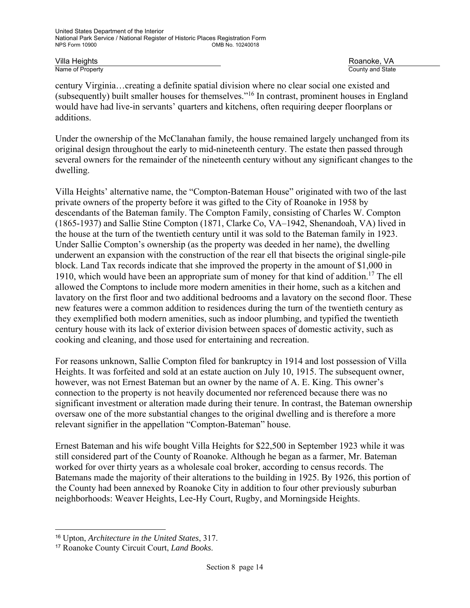Villa Heights Roanoke, VA County and State

century Virginia…creating a definite spatial division where no clear social one existed and (subsequently) built smaller houses for themselves."16 In contrast, prominent houses in England would have had live-in servants' quarters and kitchens, often requiring deeper floorplans or additions.

Under the ownership of the McClanahan family, the house remained largely unchanged from its original design throughout the early to mid-nineteenth century. The estate then passed through several owners for the remainder of the nineteenth century without any significant changes to the dwelling.

Villa Heights' alternative name, the "Compton-Bateman House" originated with two of the last private owners of the property before it was gifted to the City of Roanoke in 1958 by descendants of the Bateman family. The Compton Family, consisting of Charles W. Compton (1865-1937) and Sallie Stine Compton (1871, Clarke Co, VA–1942, Shenandoah, VA) lived in the house at the turn of the twentieth century until it was sold to the Bateman family in 1923. Under Sallie Compton's ownership (as the property was deeded in her name), the dwelling underwent an expansion with the construction of the rear ell that bisects the original single-pile block. Land Tax records indicate that she improved the property in the amount of \$1,000 in 1910, which would have been an appropriate sum of money for that kind of addition.<sup>17</sup> The ell allowed the Comptons to include more modern amenities in their home, such as a kitchen and lavatory on the first floor and two additional bedrooms and a lavatory on the second floor. These new features were a common addition to residences during the turn of the twentieth century as they exemplified both modern amenities, such as indoor plumbing, and typified the twentieth century house with its lack of exterior division between spaces of domestic activity, such as cooking and cleaning, and those used for entertaining and recreation.

For reasons unknown, Sallie Compton filed for bankruptcy in 1914 and lost possession of Villa Heights. It was forfeited and sold at an estate auction on July 10, 1915. The subsequent owner, however, was not Ernest Bateman but an owner by the name of A. E. King. This owner's connection to the property is not heavily documented nor referenced because there was no significant investment or alteration made during their tenure. In contrast, the Bateman ownership oversaw one of the more substantial changes to the original dwelling and is therefore a more relevant signifier in the appellation "Compton-Bateman" house.

Ernest Bateman and his wife bought Villa Heights for \$22,500 in September 1923 while it was still considered part of the County of Roanoke. Although he began as a farmer, Mr. Bateman worked for over thirty years as a wholesale coal broker, according to census records. The Batemans made the majority of their alterations to the building in 1925. By 1926, this portion of the County had been annexed by Roanoke City in addition to four other previously suburban neighborhoods: Weaver Heights, Lee-Hy Court, Rugby, and Morningside Heights.

l

<sup>16</sup> Upton, *Architecture in the United States*, 317.

<sup>17</sup> Roanoke County Circuit Court, *Land Books*.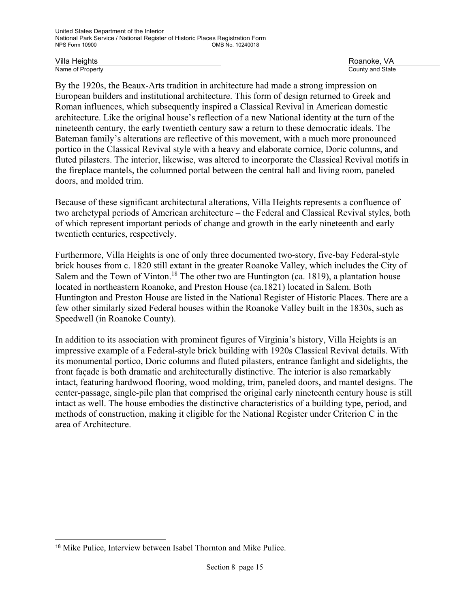Villa Heights Roanoke, VA

l

County and State

By the 1920s, the Beaux-Arts tradition in architecture had made a strong impression on European builders and institutional architecture. This form of design returned to Greek and Roman influences, which subsequently inspired a Classical Revival in American domestic architecture. Like the original house's reflection of a new National identity at the turn of the nineteenth century, the early twentieth century saw a return to these democratic ideals. The Bateman family's alterations are reflective of this movement, with a much more pronounced portico in the Classical Revival style with a heavy and elaborate cornice, Doric columns, and fluted pilasters. The interior, likewise, was altered to incorporate the Classical Revival motifs in the fireplace mantels, the columned portal between the central hall and living room, paneled doors, and molded trim.

Because of these significant architectural alterations, Villa Heights represents a confluence of two archetypal periods of American architecture – the Federal and Classical Revival styles, both of which represent important periods of change and growth in the early nineteenth and early twentieth centuries, respectively.

Furthermore, Villa Heights is one of only three documented two-story, five-bay Federal-style brick houses from c. 1820 still extant in the greater Roanoke Valley, which includes the City of Salem and the Town of Vinton.<sup>18</sup> The other two are Huntington (ca. 1819), a plantation house located in northeastern Roanoke, and Preston House (ca.1821) located in Salem. Both Huntington and Preston House are listed in the National Register of Historic Places. There are a few other similarly sized Federal houses within the Roanoke Valley built in the 1830s, such as Speedwell (in Roanoke County).

In addition to its association with prominent figures of Virginia's history, Villa Heights is an impressive example of a Federal-style brick building with 1920s Classical Revival details. With its monumental portico, Doric columns and fluted pilasters, entrance fanlight and sidelights, the front façade is both dramatic and architecturally distinctive. The interior is also remarkably intact, featuring hardwood flooring, wood molding, trim, paneled doors, and mantel designs. The center-passage, single-pile plan that comprised the original early nineteenth century house is still intact as well. The house embodies the distinctive characteristics of a building type, period, and methods of construction, making it eligible for the National Register under Criterion C in the area of Architecture.

<sup>18</sup> Mike Pulice, Interview between Isabel Thornton and Mike Pulice.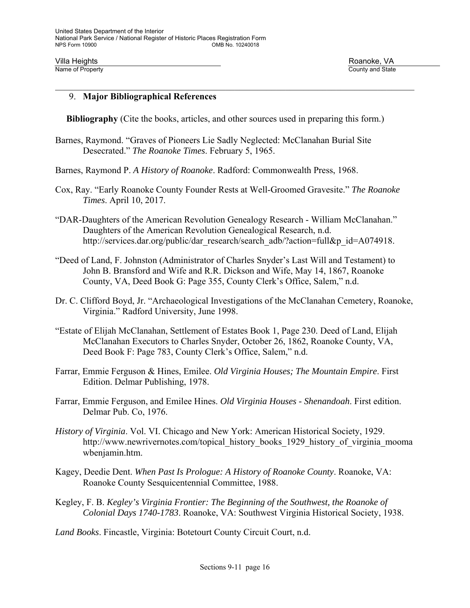#### 9. **Major Bibliographical References**

**Bibliography** (Cite the books, articles, and other sources used in preparing this form.)

- Barnes, Raymond. "Graves of Pioneers Lie Sadly Neglected: McClanahan Burial Site Desecrated." *The Roanoke Times*. February 5, 1965.
- Barnes, Raymond P. *A History of Roanoke*. Radford: Commonwealth Press, 1968.
- Cox, Ray. "Early Roanoke County Founder Rests at Well-Groomed Gravesite." *The Roanoke Times*. April 10, 2017.
- "DAR-Daughters of the American Revolution Genealogy Research William McClanahan." Daughters of the American Revolution Genealogical Research, n.d. http://services.dar.org/public/dar\_research/search\_adb/?action=full&p\_id=A074918.
- "Deed of Land, F. Johnston (Administrator of Charles Snyder's Last Will and Testament) to John B. Bransford and Wife and R.R. Dickson and Wife, May 14, 1867, Roanoke County, VA, Deed Book G: Page 355, County Clerk's Office, Salem," n.d.
- Dr. C. Clifford Boyd, Jr. "Archaeological Investigations of the McClanahan Cemetery, Roanoke, Virginia." Radford University, June 1998.
- "Estate of Elijah McClanahan, Settlement of Estates Book 1, Page 230. Deed of Land, Elijah McClanahan Executors to Charles Snyder, October 26, 1862, Roanoke County, VA, Deed Book F: Page 783, County Clerk's Office, Salem," n.d.
- Farrar, Emmie Ferguson & Hines, Emilee. *Old Virginia Houses; The Mountain Empire*. First Edition. Delmar Publishing, 1978.
- Farrar, Emmie Ferguson, and Emilee Hines. *Old Virginia Houses Shenandoah*. First edition. Delmar Pub. Co, 1976.
- *History of Virginia*. Vol. VI. Chicago and New York: American Historical Society, 1929. http://www.newrivernotes.com/topical history books 1929 history of virginia mooma wbenjamin.htm.
- Kagey, Deedie Dent. *When Past Is Prologue: A History of Roanoke County*. Roanoke, VA: Roanoke County Sesquicentennial Committee, 1988.
- Kegley, F. B. *Kegley's Virginia Frontier: The Beginning of the Southwest, the Roanoke of Colonial Days 1740-1783*. Roanoke, VA: Southwest Virginia Historical Society, 1938.
- *Land Books*. Fincastle, Virginia: Botetourt County Circuit Court, n.d.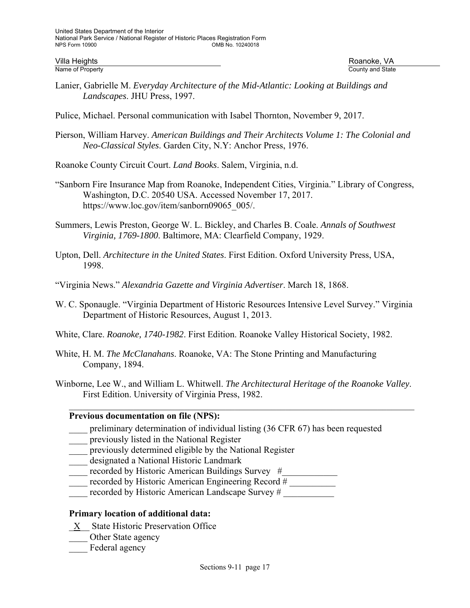- Lanier, Gabrielle M. *Everyday Architecture of the Mid-Atlantic: Looking at Buildings and Landscapes*. JHU Press, 1997.
- Pulice, Michael. Personal communication with Isabel Thornton, November 9, 2017.
- Pierson, William Harvey. *American Buildings and Their Architects Volume 1: The Colonial and Neo-Classical Styles*. Garden City, N.Y: Anchor Press, 1976.
- Roanoke County Circuit Court. *Land Books*. Salem, Virginia, n.d.
- "Sanborn Fire Insurance Map from Roanoke, Independent Cities, Virginia." Library of Congress, Washington, D.C. 20540 USA. Accessed November 17, 2017. https://www.loc.gov/item/sanborn09065\_005/.
- Summers, Lewis Preston, George W. L. Bickley, and Charles B. Coale. *Annals of Southwest Virginia, 1769-1800*. Baltimore, MA: Clearfield Company, 1929.
- Upton, Dell. *Architecture in the United States*. First Edition. Oxford University Press, USA, 1998.
- "Virginia News." *Alexandria Gazette and Virginia Advertiser*. March 18, 1868.
- W. C. Sponaugle. "Virginia Department of Historic Resources Intensive Level Survey." Virginia Department of Historic Resources, August 1, 2013.
- White, Clare. *Roanoke, 1740-1982*. First Edition. Roanoke Valley Historical Society, 1982.
- White, H. M. *The McClanahans*. Roanoke, VA: The Stone Printing and Manufacturing Company, 1894.
- Winborne, Lee W., and William L. Whitwell. *The Architectural Heritage of the Roanoke Valley*. First Edition. University of Virginia Press, 1982.

#### **Previous documentation on file (NPS):**

- preliminary determination of individual listing (36 CFR 67) has been requested
- \_\_\_\_ previously listed in the National Register
- previously determined eligible by the National Register
- designated a National Historic Landmark
- recorded by Historic American Buildings Survey #
- recorded by Historic American Engineering Record #
- recorded by Historic American Landscape Survey #

### **Primary location of additional data:**

- \_X\_\_ State Historic Preservation Office
- Other State agency
- Federal agency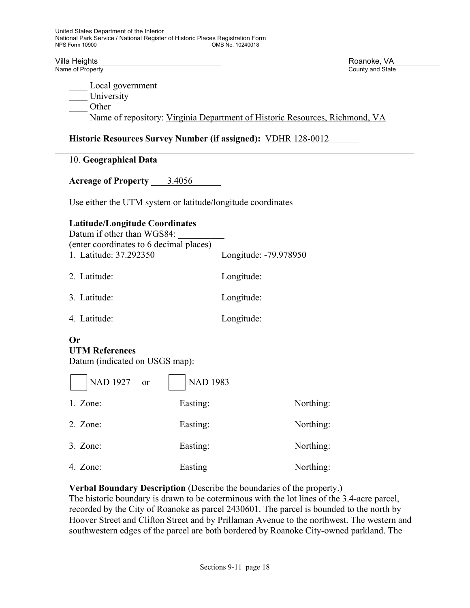Local government University \_\_\_\_ Other Name of repository: Virginia Department of Historic Resources, Richmond, VA

#### **Historic Resources Survey Number (if assigned):** VDHR 128-0012

#### 10. **Geographical Data**

Acreage of Property 3.4056

Use either the UTM system or latitude/longitude coordinates

#### **Latitude/Longitude Coordinates**

| Datum if other than WGS84:<br>(enter coordinates to 6 decimal places) |                       |
|-----------------------------------------------------------------------|-----------------------|
| 1. Latitude: 37.292350                                                | Longitude: -79.978950 |
| 2. Latitude:                                                          | Longitude:            |
| 3. Latitude:                                                          | Longitude:            |
| 4. Latitude:                                                          | Longitude:            |

### **Or UTM References**

Datum (indicated on USGS map):

| NAD 1927 or | <b>NAD 1983</b> |           |
|-------------|-----------------|-----------|
| 1. Zone:    | Easting:        | Northing: |
| $2.$ Zone:  | Easting:        | Northing: |
| 3. Zone:    | Easting:        | Northing: |
| 4. Zone:    | Easting         | Northing: |

#### **Verbal Boundary Description** (Describe the boundaries of the property.)

The historic boundary is drawn to be coterminous with the lot lines of the 3.4-acre parcel, recorded by the City of Roanoke as parcel 2430601. The parcel is bounded to the north by Hoover Street and Clifton Street and by Prillaman Avenue to the northwest. The western and southwestern edges of the parcel are both bordered by Roanoke City-owned parkland. The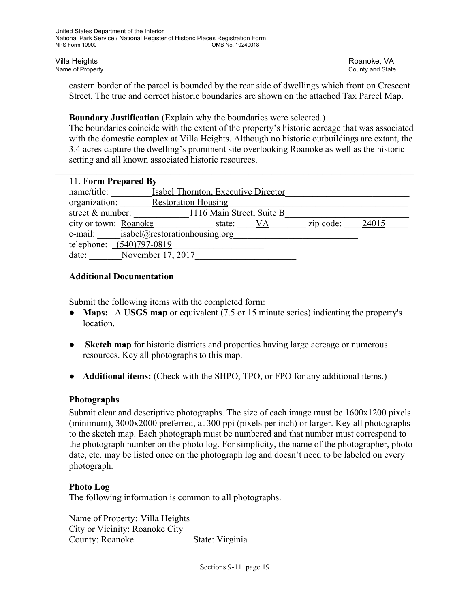eastern border of the parcel is bounded by the rear side of dwellings which front on Crescent Street. The true and correct historic boundaries are shown on the attached Tax Parcel Map.

#### **Boundary Justification** (Explain why the boundaries were selected.)

The boundaries coincide with the extent of the property's historic acreage that was associated with the domestic complex at Villa Heights. Although no historic outbuildings are extant, the 3.4 acres capture the dwelling's prominent site overlooking Roanoke as well as the historic setting and all known associated historic resources.

| 11. Form Prepared By              |                                       |    |           |       |
|-----------------------------------|---------------------------------------|----|-----------|-------|
| name/title:                       | Isabel Thornton, Executive Director   |    |           |       |
| organization: Restoration Housing |                                       |    |           |       |
| street & number:                  | 1116 Main Street, Suite B             |    |           |       |
| city or town: Roanoke             | state:                                | VA | zip code: | 24015 |
|                                   | e-mail: isabel@restorationhousing.org |    |           |       |
| telephone: (540)797-0819          |                                       |    |           |       |
| date:                             | November 17, 2017                     |    |           |       |
|                                   |                                       |    |           |       |

#### **Additional Documentation**

Submit the following items with the completed form:

- **Maps:** A **USGS map** or equivalent (7.5 or 15 minute series) indicating the property's location.
- **• Sketch map** for historic districts and properties having large acreage or numerous resources. Key all photographs to this map.
- **Additional items:** (Check with the SHPO, TPO, or FPO for any additional items.)

#### **Photographs**

Submit clear and descriptive photographs. The size of each image must be 1600x1200 pixels (minimum), 3000x2000 preferred, at 300 ppi (pixels per inch) or larger. Key all photographs to the sketch map. Each photograph must be numbered and that number must correspond to the photograph number on the photo log. For simplicity, the name of the photographer, photo date, etc. may be listed once on the photograph log and doesn't need to be labeled on every photograph.

#### **Photo Log**

The following information is common to all photographs.

Name of Property: Villa Heights City or Vicinity: Roanoke City County: Roanoke State: Virginia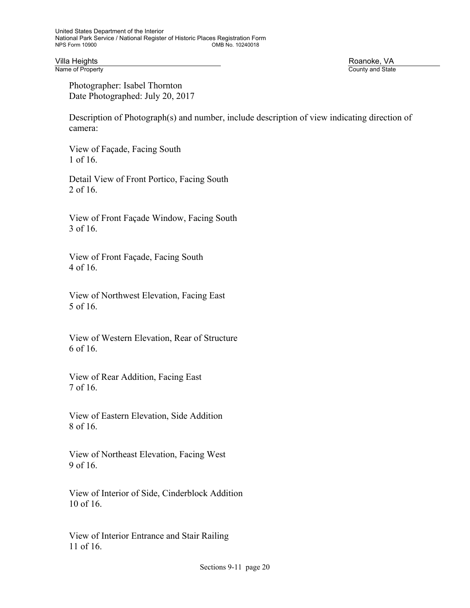Villa Heights **Exercía Exercía Exercía Exercía Exercía Exercía Exercía Exercía Exercía Exercía Exercía Exercí<br>Name of Property <b>Roanoke, VA** 

County and State

 Photographer: Isabel Thornton Date Photographed: July 20, 2017

Description of Photograph(s) and number, include description of view indicating direction of camera:

View of Façade, Facing South 1 of 16.

Detail View of Front Portico, Facing South 2 of 16.

View of Front Façade Window, Facing South 3 of 16.

 View of Front Façade, Facing South 4 of 16.

 View of Northwest Elevation, Facing East 5 of 16.

 View of Western Elevation, Rear of Structure 6 of 16.

 View of Rear Addition, Facing East 7 of 16.

 View of Eastern Elevation, Side Addition 8 of 16.

 View of Northeast Elevation, Facing West 9 of 16.

 View of Interior of Side, Cinderblock Addition 10 of 16.

 View of Interior Entrance and Stair Railing 11 of 16.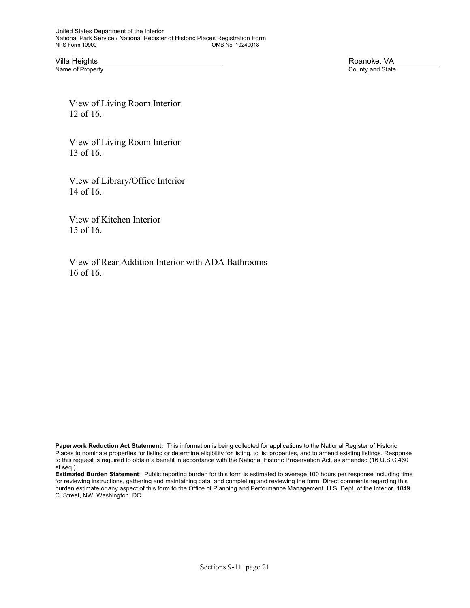Villa Heights Roanoke, VA

County and State

 View of Living Room Interior 12 of 16.

 View of Living Room Interior 13 of 16.

 View of Library/Office Interior 14 of 16.

 View of Kitchen Interior 15 of 16.

 View of Rear Addition Interior with ADA Bathrooms 16 of 16.

**Paperwork Reduction Act Statement:** This information is being collected for applications to the National Register of Historic Places to nominate properties for listing or determine eligibility for listing, to list properties, and to amend existing listings. Response to this request is required to obtain a benefit in accordance with the National Historic Preservation Act, as amended (16 U.S.C.460 et seq.).

**Estimated Burden Statement**: Public reporting burden for this form is estimated to average 100 hours per response including time for reviewing instructions, gathering and maintaining data, and completing and reviewing the form. Direct comments regarding this burden estimate or any aspect of this form to the Office of Planning and Performance Management. U.S. Dept. of the Interior, 1849 C. Street, NW, Washington, DC.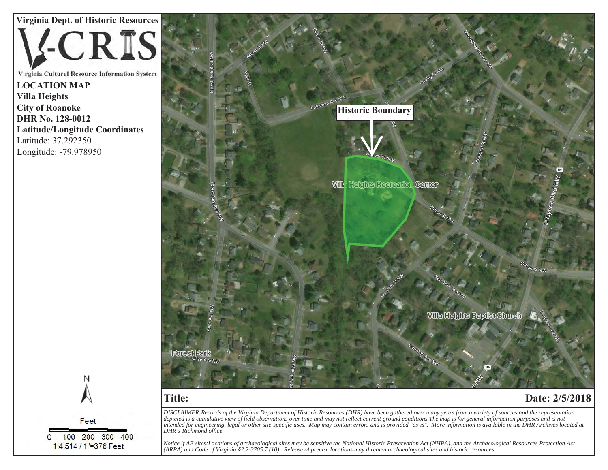**Virginia Dept. of Historic Resources CRIS** 

Virginia Cultural Resource Information System **Legend LOCATION MAP Villa Heights**  archaeological Resources **City of Roanoke**  $\blacksquare$ DHR No. 128-0012 **Latitude/Longitude Coordinates**  Latitude: 37.292350 Longitude: -79.978950

N Feet 100 200 300 400  $\Omega$ 1:4,514 / 1"=376 Feet



# **Title:**

## **Date: 2/5/2018**

*DISCLAIMER:Records of the Virginia Department of Historic Resources (DHR) have been gathered over many years from a variety of sources and the representation depicted is a cumulative view of field observations over time and may not reflect current ground conditions.The map is for general information purposes and is not intended for engineering, legal or other site-specific uses. Map may contain errors and is provided "as-is". More information is available in the DHR Archives located at DHR's Richmond office.*

*Notice if AE sites:Locations of archaeological sites may be sensitive the National Historic Preservation Act (NHPA), and the Archaeological Resources Protection Act (ARPA) and Code of Virginia §2.2-3705.7 (10). Release of precise locations may threaten archaeological sites and historic resources.*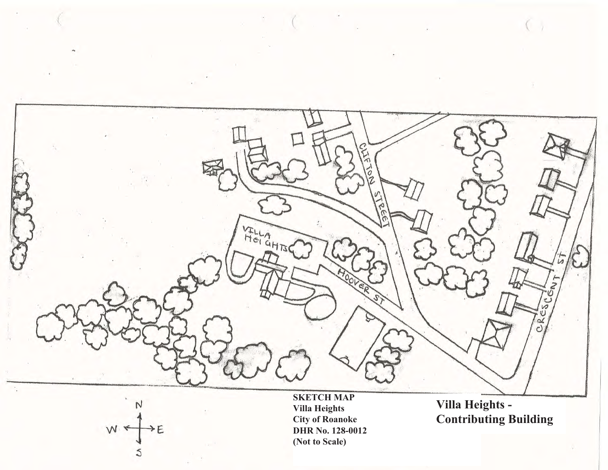

W  $E$ 

**SKETCH MAP Villa Heights City of Roanoke DHR No. 128-0012 (Not to Scale)**

**Villa Heights - Contributing Building**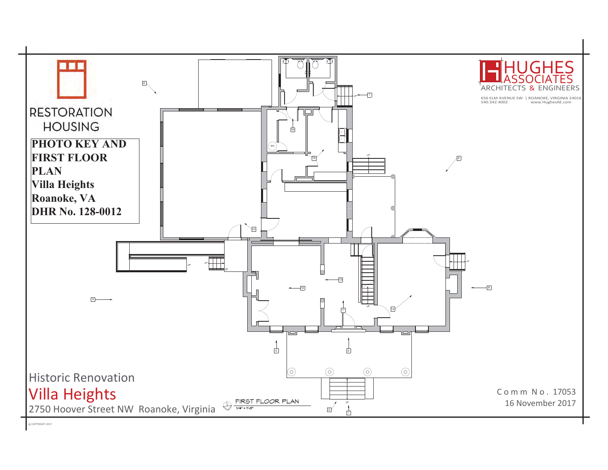

© COPYRIGHT 2017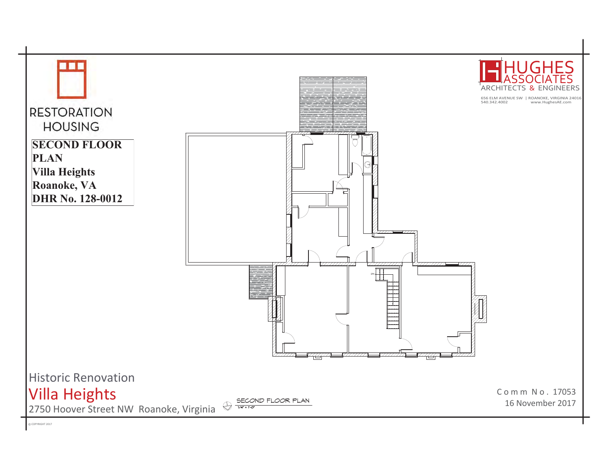

© COPYRIGHT 2017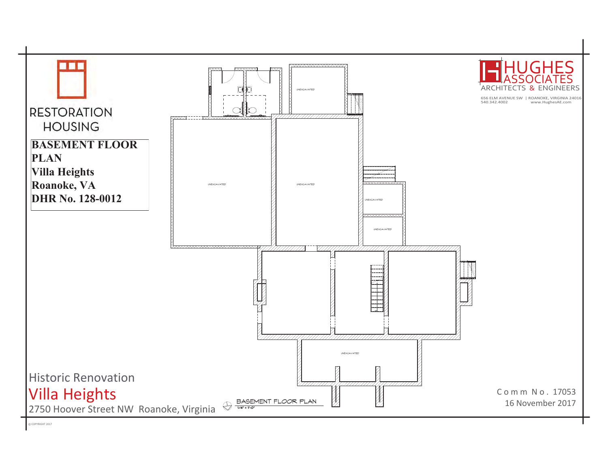

© COPYRIGHT 2017